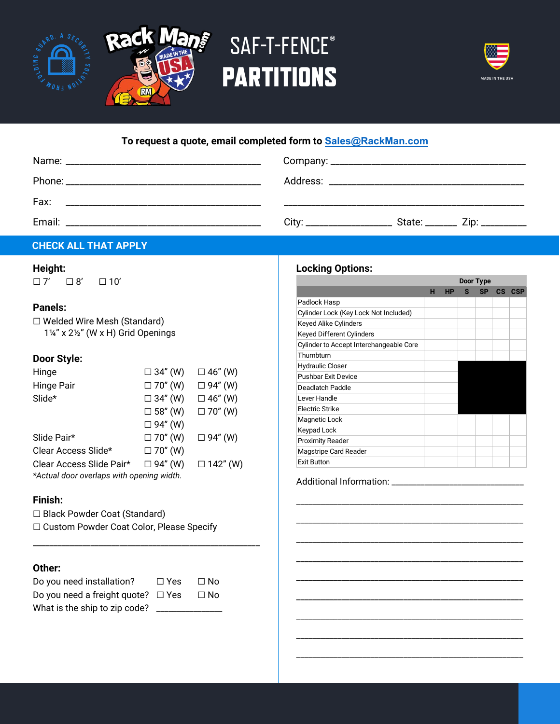

# SAF-T-FENCE**® PARTITIONS**

Ş



## **To request a quote, email completed form to [Sales@RackMan.com](mailto:sales@foldingguard.com)**

| State: ________ Zip: __________<br>City: ____________________ |  |  |  |  |  |  |  |  |  |
|---------------------------------------------------------------|--|--|--|--|--|--|--|--|--|
|                                                               |  |  |  |  |  |  |  |  |  |

#### **CHECK ALL THAT APPLY**

#### **Height:**

☐ 7' ☐ 8' ☐ 10'

#### **Panels:**

| □ Welded Wire Mesh (Standard)   |
|---------------------------------|
| 1¼" x 2½" (W x H) Grid Openings |

#### **Door Style:**

| Hinge                                     | $\Box$ 34" (W) | $\Box$ 46" (W)  |  |  |  |  |  |  |  |  |
|-------------------------------------------|----------------|-----------------|--|--|--|--|--|--|--|--|
| Hinge Pair                                | $\Box$ 70" (W) | $\Box$ 94" (W)  |  |  |  |  |  |  |  |  |
| Slide*                                    | $\Box$ 34" (W) | $\Box$ 46" (W)  |  |  |  |  |  |  |  |  |
|                                           | $\Box$ 58" (W) | $\Box$ 70" (W)  |  |  |  |  |  |  |  |  |
|                                           | $\Box$ 94" (W) |                 |  |  |  |  |  |  |  |  |
| Slide Pair*                               | $\Box$ 70" (W) | $\Box$ 94" (W)  |  |  |  |  |  |  |  |  |
| Clear Access Slide*                       | $\Box$ 70" (W) |                 |  |  |  |  |  |  |  |  |
| Clear Access Slide Pair*                  | $\Box$ 94" (W) | $\Box$ 142" (W) |  |  |  |  |  |  |  |  |
| *Actual door overlaps with opening width. |                |                 |  |  |  |  |  |  |  |  |

#### **Finish:**

☐ Black Powder Coat (Standard)

☐ Custom Powder Coat Color, Please Specify

\_\_\_\_\_\_\_\_\_\_\_\_\_\_\_\_\_\_\_\_\_\_\_\_\_\_\_\_\_\_\_\_\_\_\_\_\_\_\_\_\_\_\_\_\_\_\_\_\_\_\_\_\_\_\_

#### **Other:**

| Do you need installation?               | $\Box$ Yes | ⊟ No      |
|-----------------------------------------|------------|-----------|
| Do you need a freight quote? $\Box$ Yes |            | $\Box$ No |
| What is the ship to zip code?           |            |           |

### **Locking Options:**

| LUUNIIIY UPUUIIS.                       |   |    |    | Door Type |               |            |
|-----------------------------------------|---|----|----|-----------|---------------|------------|
|                                         | н | HP | s. | <b>SP</b> | $\mathsf{cs}$ | <b>CSP</b> |
| Padlock Hasp                            |   |    |    |           |               |            |
| Cylinder Lock (Key Lock Not Included)   |   |    |    |           |               |            |
| Keyed Alike Cylinders                   |   |    |    |           |               |            |
| Keyed Different Cylinders               |   |    |    |           |               |            |
| Cylinder to Accept Interchangeable Core |   |    |    |           |               |            |
| Thumbturn                               |   |    |    |           |               |            |
| <b>Hydraulic Closer</b>                 |   |    |    |           |               |            |
| <b>Pushbar Exit Device</b>              |   |    |    |           |               |            |
| Deadlatch Paddle                        |   |    |    |           |               |            |
| Lever Handle                            |   |    |    |           |               |            |
| Electric Strike                         |   |    |    |           |               |            |
| Magnetic Lock                           |   |    |    |           |               |            |
| Keypad Lock                             |   |    |    |           |               |            |
| <b>Proximity Reader</b>                 |   |    |    |           |               |            |
| Magstripe Card Reader                   |   |    |    |           |               |            |
| <b>Exit Button</b>                      |   |    |    |           |               |            |

\_\_\_\_\_\_\_\_\_\_\_\_\_\_\_\_\_\_\_\_\_\_\_\_\_\_\_\_\_\_\_\_\_\_\_\_\_\_\_\_\_\_\_\_\_\_\_\_\_\_\_\_\_\_\_

\_\_\_\_\_\_\_\_\_\_\_\_\_\_\_\_\_\_\_\_\_\_\_\_\_\_\_\_\_\_\_\_\_\_\_\_\_\_\_\_\_\_\_\_\_\_\_\_\_\_\_\_\_\_\_

\_\_\_\_\_\_\_\_\_\_\_\_\_\_\_\_\_\_\_\_\_\_\_\_\_\_\_\_\_\_\_\_\_\_\_\_\_\_\_\_\_\_\_\_\_\_\_\_\_\_\_\_\_\_\_

\_\_\_\_\_\_\_\_\_\_\_\_\_\_\_\_\_\_\_\_\_\_\_\_\_\_\_\_\_\_\_\_\_\_\_\_\_\_\_\_\_\_\_\_\_\_\_\_\_\_\_\_\_\_\_

\_\_\_\_\_\_\_\_\_\_\_\_\_\_\_\_\_\_\_\_\_\_\_\_\_\_\_\_\_\_\_\_\_\_\_\_\_\_\_\_\_\_\_\_\_\_\_\_\_\_\_\_\_\_\_

\_\_\_\_\_\_\_\_\_\_\_\_\_\_\_\_\_\_\_\_\_\_\_\_\_\_\_\_\_\_\_\_\_\_\_\_\_\_\_\_\_\_\_\_\_\_\_\_\_\_\_\_\_\_\_

\_\_\_\_\_\_\_\_\_\_\_\_\_\_\_\_\_\_\_\_\_\_\_\_\_\_\_\_\_\_\_\_\_\_\_\_\_\_\_\_\_\_\_\_\_\_\_\_\_\_\_\_\_\_\_

\_\_\_\_\_\_\_\_\_\_\_\_\_\_\_\_\_\_\_\_\_\_\_\_\_\_\_\_\_\_\_\_\_\_\_\_\_\_\_\_\_\_\_\_\_\_\_\_\_\_\_\_\_\_\_

\_\_\_\_\_\_\_\_\_\_\_\_\_\_\_\_\_\_\_\_\_\_\_\_\_\_\_\_\_\_\_\_\_\_\_\_\_\_\_\_\_\_\_\_\_\_\_\_\_\_\_\_\_\_\_

Additional Information: \_\_\_\_\_\_\_\_\_\_\_\_\_\_\_\_\_\_\_\_\_\_\_\_\_\_\_\_\_\_\_\_